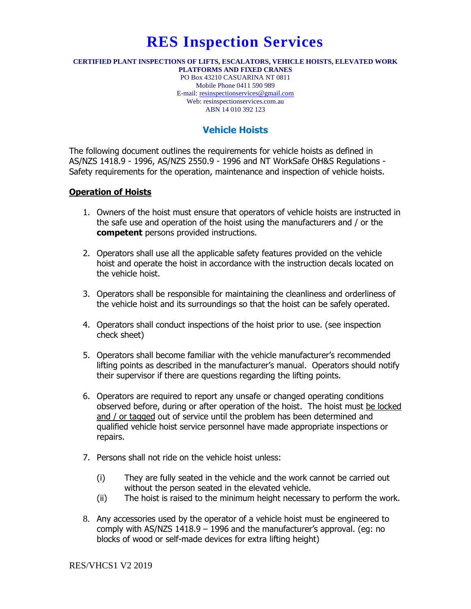# **RES Inspection Services**

#### **CERTIFIED PLANT INSPECTIONS OF LIFTS, ESCALATORS, VEHICLE HOISTS, ELEVATED WORK PLATFORMS AND FIXED CRANES**

PO Box 43210 CASUARINA NT 0811 Mobile Phone 0411 590 989 E-mail: [resinspectionservices@gmail.com](mailto:resinspectionservices@gmail.com) Web: resinspectionservices.com.au ABN 14 010 392 123

## **Vehicle Hoists**

The following document outlines the requirements for vehicle hoists as defined in AS/NZS 1418.9 - 1996, AS/NZS 2550.9 - 1996 and NT WorkSafe OH&S Regulations - Safety requirements for the operation, maintenance and inspection of vehicle hoists.

#### **Operation of Hoists**

- 1. Owners of the hoist must ensure that operators of vehicle hoists are instructed in the safe use and operation of the hoist using the manufacturers and / or the **competent** persons provided instructions.
- 2. Operators shall use all the applicable safety features provided on the vehicle hoist and operate the hoist in accordance with the instruction decals located on the vehicle hoist.
- 3. Operators shall be responsible for maintaining the cleanliness and orderliness of the vehicle hoist and its surroundings so that the hoist can be safely operated.
- 4. Operators shall conduct inspections of the hoist prior to use. (see inspection check sheet)
- 5. Operators shall become familiar with the vehicle manufacturer's recommended lifting points as described in the manufacturer's manual. Operators should notify their supervisor if there are questions regarding the lifting points.
- 6. Operators are required to report any unsafe or changed operating conditions observed before, during or after operation of the hoist. The hoist must be locked and / or tagged out of service until the problem has been determined and qualified vehicle hoist service personnel have made appropriate inspections or repairs.
- 7. Persons shall not ride on the vehicle hoist unless:
	- (i) They are fully seated in the vehicle and the work cannot be carried out without the person seated in the elevated vehicle.
	- (ii) The hoist is raised to the minimum height necessary to perform the work.
- 8. Any accessories used by the operator of a vehicle hoist must be engineered to comply with AS/NZS 1418.9 – 1996 and the manufacturer's approval. (eg: no blocks of wood or self-made devices for extra lifting height)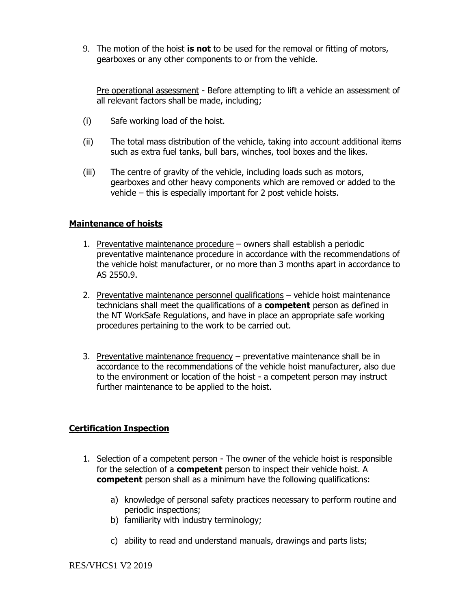9. The motion of the hoist **is not** to be used for the removal or fitting of motors, gearboxes or any other components to or from the vehicle.

Pre operational assessment - Before attempting to lift a vehicle an assessment of all relevant factors shall be made, including;

- (i) Safe working load of the hoist.
- (ii) The total mass distribution of the vehicle, taking into account additional items such as extra fuel tanks, bull bars, winches, tool boxes and the likes.
- (iii) The centre of gravity of the vehicle, including loads such as motors, gearboxes and other heavy components which are removed or added to the vehicle – this is especially important for 2 post vehicle hoists.

#### **Maintenance of hoists**

- 1. Preventative maintenance procedure owners shall establish a periodic preventative maintenance procedure in accordance with the recommendations of the vehicle hoist manufacturer, or no more than 3 months apart in accordance to AS 2550.9.
- 2. Preventative maintenance personnel qualifications vehicle hoist maintenance technicians shall meet the qualifications of a **competent** person as defined in the NT WorkSafe Regulations, and have in place an appropriate safe working procedures pertaining to the work to be carried out.
- 3. Preventative maintenance frequency preventative maintenance shall be in accordance to the recommendations of the vehicle hoist manufacturer, also due to the environment or location of the hoist - a competent person may instruct further maintenance to be applied to the hoist.

#### **Certification Inspection**

- 1. Selection of a competent person The owner of the vehicle hoist is responsible for the selection of a **competent** person to inspect their vehicle hoist. A **competent** person shall as a minimum have the following qualifications:
	- a) knowledge of personal safety practices necessary to perform routine and periodic inspections;
	- b) familiarity with industry terminology;
	- c) ability to read and understand manuals, drawings and parts lists;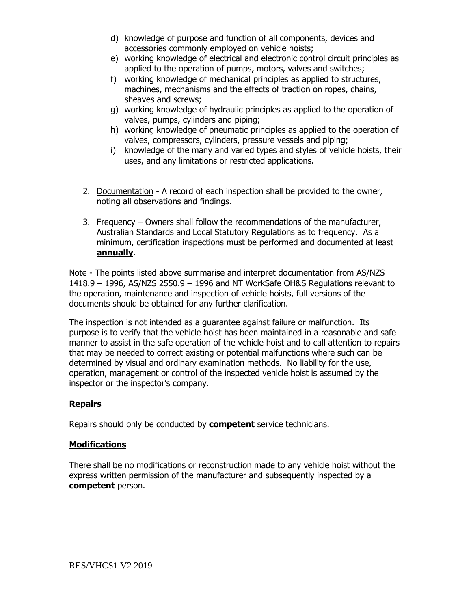- d) knowledge of purpose and function of all components, devices and accessories commonly employed on vehicle hoists;
- e) working knowledge of electrical and electronic control circuit principles as applied to the operation of pumps, motors, valves and switches;
- f) working knowledge of mechanical principles as applied to structures, machines, mechanisms and the effects of traction on ropes, chains, sheaves and screws;
- g) working knowledge of hydraulic principles as applied to the operation of valves, pumps, cylinders and piping;
- h) working knowledge of pneumatic principles as applied to the operation of valves, compressors, cylinders, pressure vessels and piping;
- i) knowledge of the many and varied types and styles of vehicle hoists, their uses, and any limitations or restricted applications.
- 2. Documentation A record of each inspection shall be provided to the owner, noting all observations and findings.
- 3. Frequency Owners shall follow the recommendations of the manufacturer, Australian Standards and Local Statutory Regulations as to frequency. As a minimum, certification inspections must be performed and documented at least **annually**.

Note - The points listed above summarise and interpret documentation from AS/NZS 1418.9 – 1996, AS/NZS 2550.9 – 1996 and NT WorkSafe OH&S Regulations relevant to the operation, maintenance and inspection of vehicle hoists, full versions of the documents should be obtained for any further clarification.

The inspection is not intended as a guarantee against failure or malfunction. Its purpose is to verify that the vehicle hoist has been maintained in a reasonable and safe manner to assist in the safe operation of the vehicle hoist and to call attention to repairs that may be needed to correct existing or potential malfunctions where such can be determined by visual and ordinary examination methods. No liability for the use, operation, management or control of the inspected vehicle hoist is assumed by the inspector or the inspector's company.

### **Repairs**

Repairs should only be conducted by **competent** service technicians.

#### **Modifications**

There shall be no modifications or reconstruction made to any vehicle hoist without the express written permission of the manufacturer and subsequently inspected by a **competent** person.